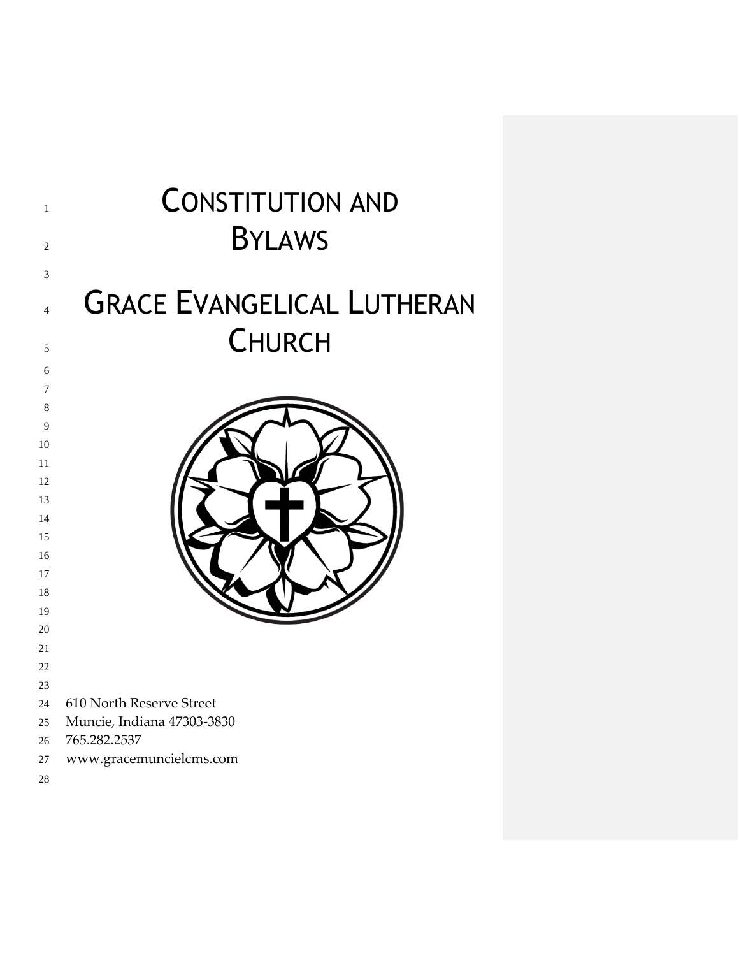| $\mathbf{1}$<br>$\overline{2}$ | <b>CONSTITUTION AND</b><br><b>BYLAWS</b> |
|--------------------------------|------------------------------------------|
| 3                              |                                          |
| $\overline{4}$                 | <b>GRACE EVANGELICAL LUTHERAN</b>        |
| 5                              | <b>CHURCH</b>                            |
| 6                              |                                          |
| 7                              |                                          |
| 8                              |                                          |
| 9                              |                                          |
| 10                             |                                          |
| 11                             |                                          |
| 12                             |                                          |
| 13                             |                                          |
| 14                             |                                          |
| 15                             |                                          |
| 16<br>17                       |                                          |
| 18                             |                                          |
| 19                             |                                          |
| 20                             |                                          |
| 21                             |                                          |
| 22                             |                                          |
| 23                             |                                          |
| 24                             | 610 North Reserve Street                 |
| 25                             | Muncie, Indiana 47303-3830               |
| 26                             | 765.282.2537                             |
| 27                             | www.gracemuncielcms.com                  |
| $28\,$                         |                                          |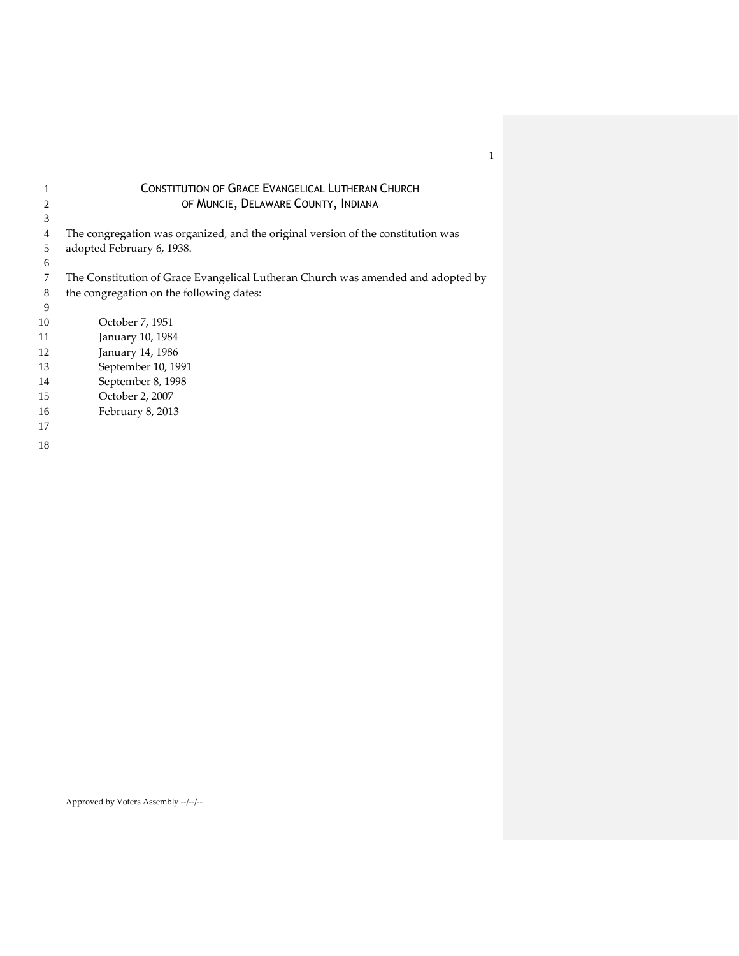|    | CONSTITUTION OF GRACE EVANGELICAL LUTHERAN CHURCH                                |
|----|----------------------------------------------------------------------------------|
| 2  | OF MUNCIE, DELAWARE COUNTY, INDIANA                                              |
| 3  |                                                                                  |
| 4  | The congregation was organized, and the original version of the constitution was |
| 5  | adopted February 6, 1938.                                                        |
| 6  |                                                                                  |
| 7  | The Constitution of Grace Evangelical Lutheran Church was amended and adopted by |
| 8  | the congregation on the following dates:                                         |
| 9  |                                                                                  |
| 10 | October 7, 1951                                                                  |
| 11 | January 10, 1984                                                                 |
| 12 | January 14, 1986                                                                 |
| 13 | September 10, 1991                                                               |
| 14 | September 8, 1998                                                                |
| 15 | October 2, 2007                                                                  |
| 16 | February 8, 2013                                                                 |
| 17 |                                                                                  |
| 18 |                                                                                  |

# CONSTITUTION OF GRACE EVANGELICAL LUTHERAN CHURCH

Approved by Voters Assembly --/--/--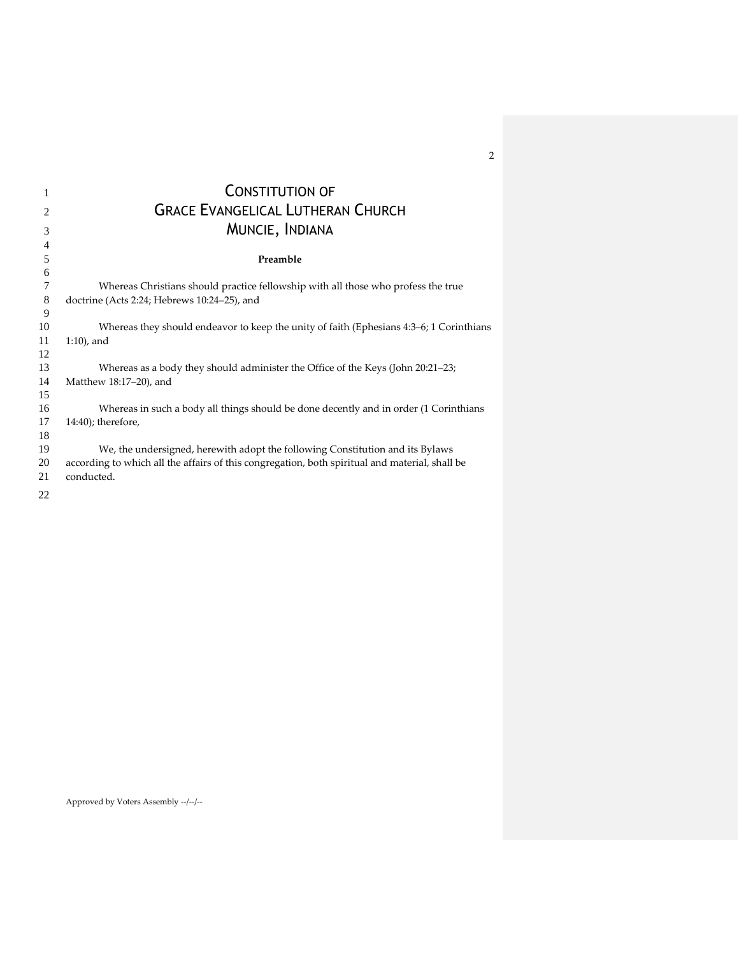| 1              | <b>CONSTITUTION OF</b>                                                                         |
|----------------|------------------------------------------------------------------------------------------------|
| $\overline{c}$ | <b>GRACE EVANGELICAL LUTHERAN CHURCH</b>                                                       |
| 3              | MUNCIE, INDIANA                                                                                |
| 4              |                                                                                                |
| 5              | Preamble                                                                                       |
| 6              |                                                                                                |
| 7              | Whereas Christians should practice fellowship with all those who profess the true              |
| 8              | doctrine (Acts 2:24; Hebrews 10:24-25), and                                                    |
| 9              |                                                                                                |
| 10             | Whereas they should endeavor to keep the unity of faith (Ephesians 4:3–6; 1 Corinthians        |
| 11             | $1:10$ , and                                                                                   |
| 12             |                                                                                                |
| 13             | Whereas as a body they should administer the Office of the Keys (John 20:21–23;                |
| 14             | Matthew 18:17-20), and                                                                         |
| 15             |                                                                                                |
| 16             | Whereas in such a body all things should be done decently and in order (1 Corinthians          |
| 17             | $14:40$ ); therefore,                                                                          |
| 18             |                                                                                                |
| 19             | We, the undersigned, herewith adopt the following Constitution and its Bylaws                  |
| 20             | according to which all the affairs of this congregation, both spiritual and material, shall be |
| 21             | conducted.                                                                                     |
| 22             |                                                                                                |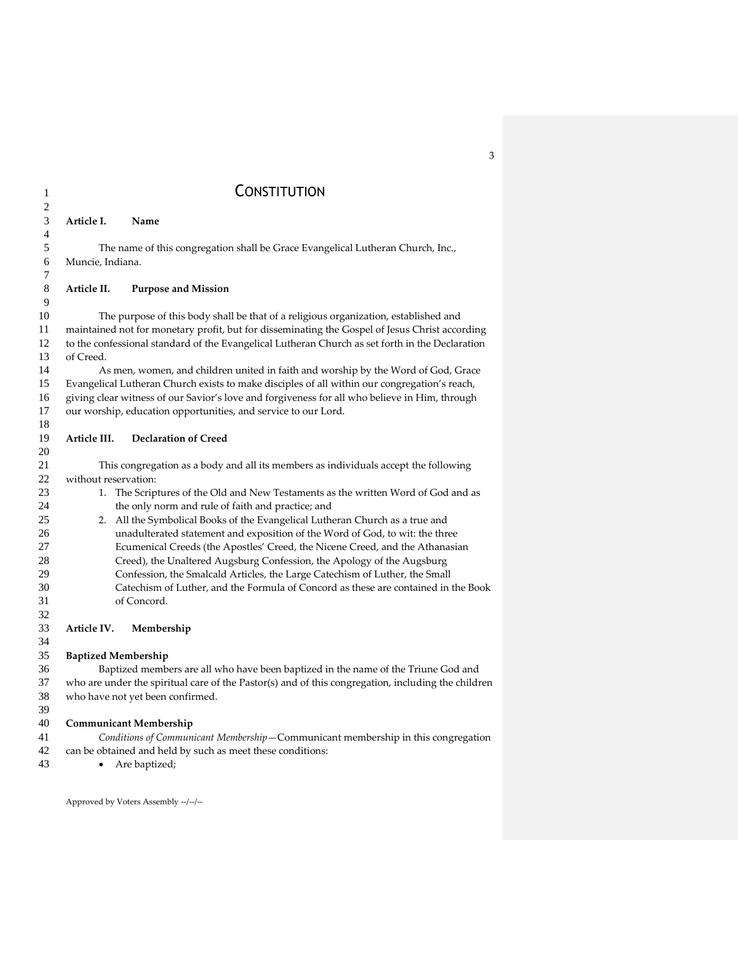# 1 CONSTITUTION

## **Article I. Name** The name of this congregation shall be Grace Evangelical Lutheran Church, Inc., Muncie, Indiana. **Article II. Purpose and Mission** The purpose of this body shall be that of a religious organization, established and maintained not for monetary profit, but for disseminating the Gospel of Jesus Christ according to the confessional standard of the Evangelical Lutheran Church as set forth in the Declaration of Creed. As men, women, and children united in faith and worship by the Word of God, Grace Evangelical Lutheran Church exists to make disciples of all within our congregation's reach, giving clear witness of our Savior's love and forgiveness for all who believe in Him, through our worship, education opportunities, and service to our Lord. **Article III. Declaration of Creed** This congregation as a body and all its members as individuals accept the following 22 without reservation:<br>23 1. The Scrip 1. The Scriptures of the Old and New Testaments as the written Word of God and as the only norm and rule of faith and practice; and 2. All the Symbolical Books of the Evangelical Lutheran Church as a true and unadulterated statement and exposition of the Word of God, to wit: the three Ecumenical Creeds (the Apostles' Creed, the Nicene Creed, and the Athanasian Creed), the Unaltered Augsburg Confession, the Apology of the Augsburg Confession, the Smalcald Articles, the Large Catechism of Luther, the Small Catechism of Luther, and the Formula of Concord as these are contained in the Book of Concord. **Article IV. Membership**

## **Baptized Membership**

 Baptized members are all who have been baptized in the name of the Triune God and who are under the spiritual care of the Pastor(s) and of this congregation, including the children who have not yet been confirmed. 

## **Communicant Membership**

 *Conditions of Communicant Membership*—Communicant membership in this congregation can be obtained and held by such as meet these conditions:

43 • Are baptized;

Approved by Voters Assembly --/--/--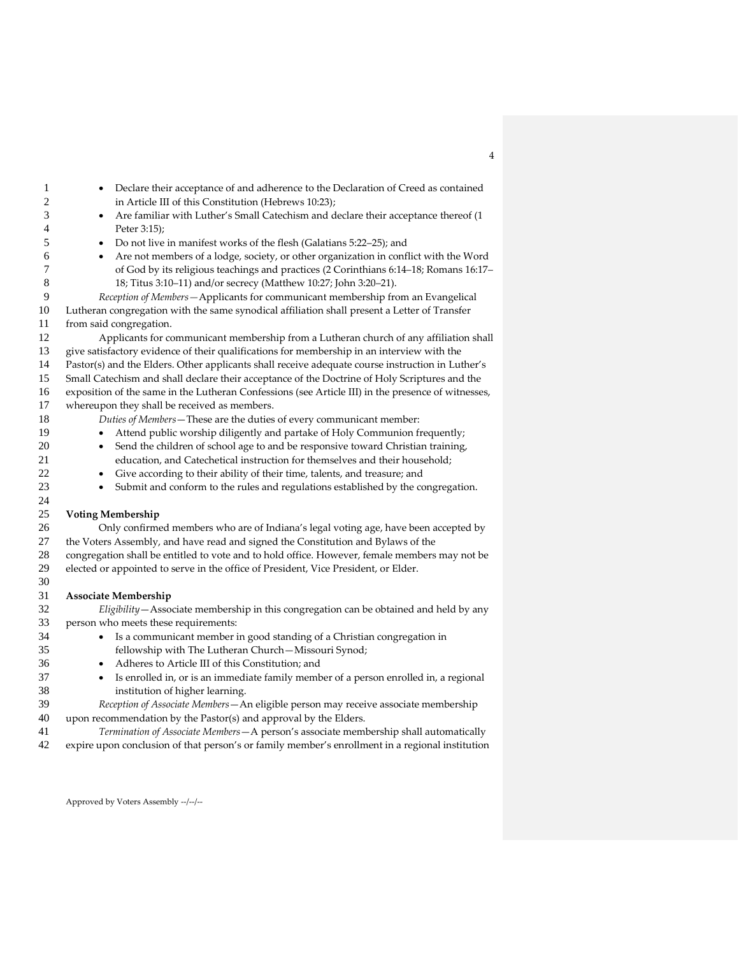- Declare their acceptance of and adherence to the Declaration of Creed as contained in Article III of this Constitution (Hebrews 10:23);
- Are familiar with Luther's Small Catechism and declare their acceptance thereof (1 Peter 3:15);
- Do not live in manifest works of the flesh (Galatians 5:22–25); and
- Are not members of a lodge, society, or other organization in conflict with the Word of God by its religious teachings and practices (2 Corinthians 6:14–18; Romans 16:17– 18; Titus 3:10–11) and/or secrecy (Matthew 10:27; John 3:20–21).

 *Reception of Members—*Applicants for communicant membership from an Evangelical Lutheran congregation with the same synodical affiliation shall present a Letter of Transfer from said congregation.

 Applicants for communicant membership from a Lutheran church of any affiliation shall give satisfactory evidence of their qualifications for membership in an interview with the Pastor(s) and the Elders. Other applicants shall receive adequate course instruction in Luther's Small Catechism and shall declare their acceptance of the Doctrine of Holy Scriptures and the exposition of the same in the Lutheran Confessions (see Article III) in the presence of witnesses, whereupon they shall be received as members.

*Duties of Members*—These are the duties of every communicant member:

- Attend public worship diligently and partake of Holy Communion frequently;
- Send the children of school age to and be responsive toward Christian training, education, and Catechetical instruction for themselves and their household;
	-
- Give according to their ability of their time, talents, and treasure; and
- Submit and conform to the rules and regulations established by the congregation.

#### **Voting Membership**

 Only confirmed members who are of Indiana's legal voting age, have been accepted by the Voters Assembly, and have read and signed the Constitution and Bylaws of the congregation shall be entitled to vote and to hold office. However, female members may not be elected or appointed to serve in the office of President, Vice President, or Elder. 

## **Associate Membership**

 *Eligibility*—Associate membership in this congregation can be obtained and held by any person who meets these requirements:

- Is a communicant member in good standing of a Christian congregation in
- fellowship with The Lutheran Church—Missouri Synod;
- Adheres to Article III of this Constitution; and
- Is enrolled in, or is an immediate family member of a person enrolled in, a regional institution of higher learning.
- *Reception of Associate Members*—An eligible person may receive associate membership upon recommendation by the Pastor(s) and approval by the Elders.
- *Termination of Associate Members*—A person's associate membership shall automatically expire upon conclusion of that person's or family member's enrollment in a regional institution

Approved by Voters Assembly --/--/--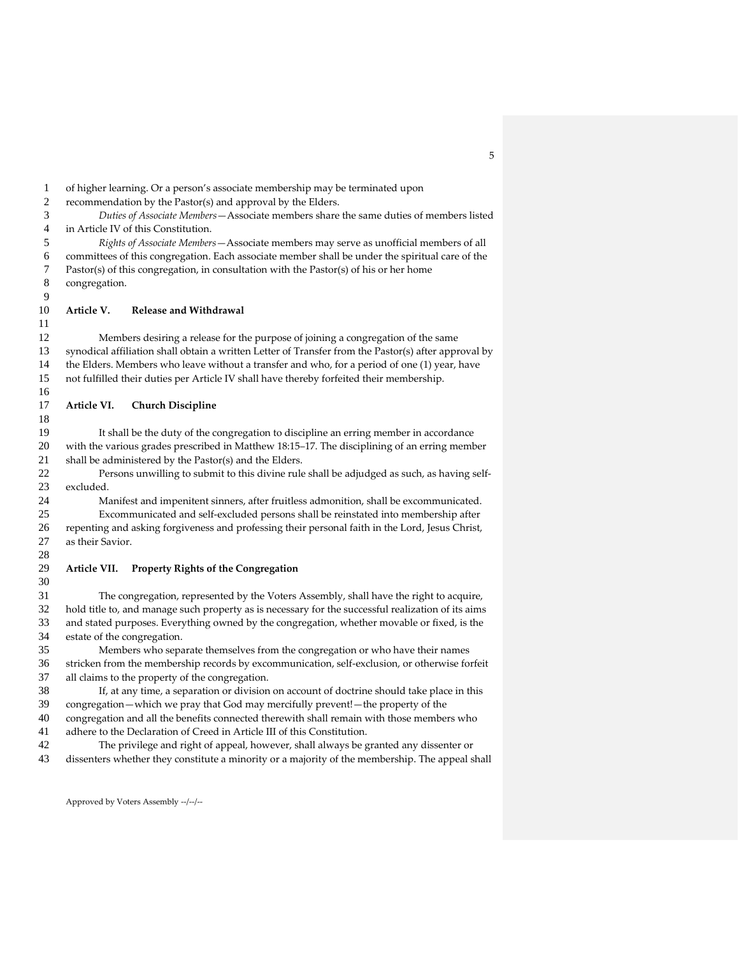of higher learning. Or a person's associate membership may be terminated upon recommendation by the Pastor(s) and approval by the Elders. *Duties of Associate Members*—Associate members share the same duties of members listed in Article IV of this Constitution. *Rights of Associate Members*—Associate members may serve as unofficial members of all committees of this congregation. Each associate member shall be under the spiritual care of the Pastor(s) of this congregation, in consultation with the Pastor(s) of his or her home congregation. **Article V. Release and Withdrawal** Members desiring a release for the purpose of joining a congregation of the same synodical affiliation shall obtain a written Letter of Transfer from the Pastor(s) after approval by the Elders. Members who leave without a transfer and who, for a period of one (1) year, have not fulfilled their duties per Article IV shall have thereby forfeited their membership. **Article VI. Church Discipline** It shall be the duty of the congregation to discipline an erring member in accordance with the various grades prescribed in Matthew 18:15–17. The disciplining of an erring member shall be administered by the Pastor(s) and the Elders. Persons unwilling to submit to this divine rule shall be adjudged as such, as having self- excluded. Manifest and impenitent sinners, after fruitless admonition, shall be excommunicated. Excommunicated and self-excluded persons shall be reinstated into membership after repenting and asking forgiveness and professing their personal faith in the Lord, Jesus Christ, as their Savior. **Article VII. Property Rights of the Congregation** The congregation, represented by the Voters Assembly, shall have the right to acquire, hold title to, and manage such property as is necessary for the successful realization of its aims and stated purposes. Everything owned by the congregation, whether movable or fixed, is the estate of the congregation. Members who separate themselves from the congregation or who have their names stricken from the membership records by excommunication, self-exclusion, or otherwise forfeit all claims to the property of the congregation. If, at any time, a separation or division on account of doctrine should take place in this congregation—which we pray that God may mercifully prevent!—the property of the 40 congregation and all the benefits connected therewith shall remain with those members who adhere to the Declaration of Creed in Article III of this Constitution. adhere to the Declaration of Creed in Article III of this Constitution. The privilege and right of appeal, however, shall always be granted any dissenter or dissenters whether they constitute a minority or a majority of the membership. The appeal shall

Approved by Voters Assembly --/--/--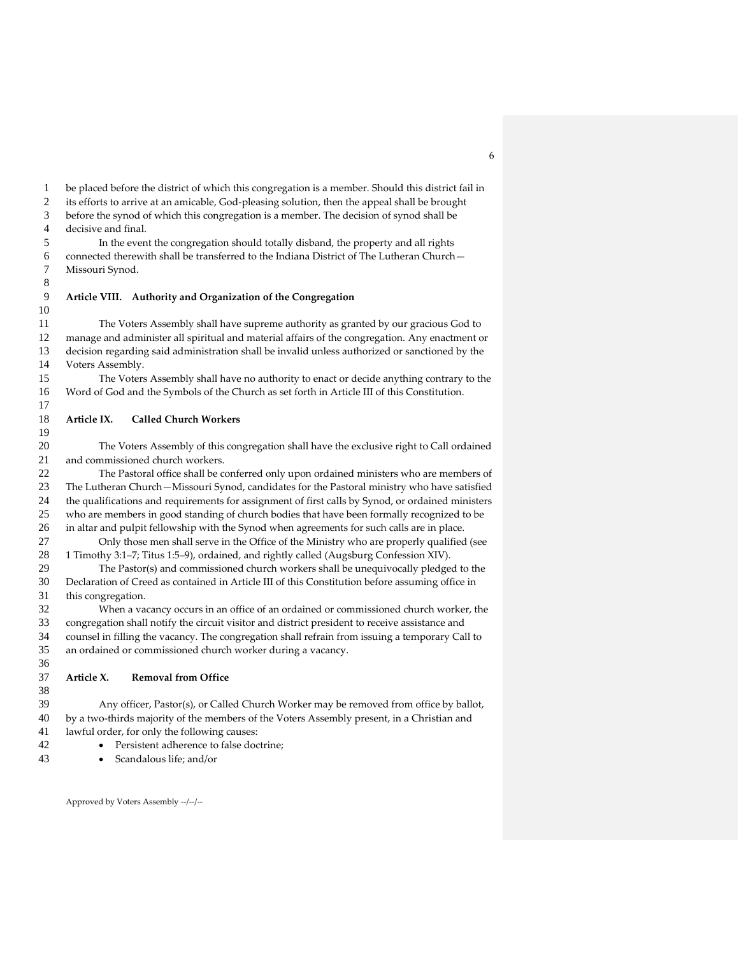be placed before the district of which this congregation is a member. Should this district fail in

its efforts to arrive at an amicable, God-pleasing solution, then the appeal shall be brought

before the synod of which this congregation is a member. The decision of synod shall be

decisive and final.

 In the event the congregation should totally disband, the property and all rights connected therewith shall be transferred to the Indiana District of The Lutheran Church— Missouri Synod.

## **Article VIII. Authority and Organization of the Congregation**

 The Voters Assembly shall have supreme authority as granted by our gracious God to manage and administer all spiritual and material affairs of the congregation. Any enactment or decision regarding said administration shall be invalid unless authorized or sanctioned by the Voters Assembly.

 The Voters Assembly shall have no authority to enact or decide anything contrary to the Word of God and the Symbols of the Church as set forth in Article III of this Constitution.

## **Article IX. Called Church Workers**

 The Voters Assembly of this congregation shall have the exclusive right to Call ordained and commissioned church workers.

 The Pastoral office shall be conferred only upon ordained ministers who are members of The Lutheran Church—Missouri Synod, candidates for the Pastoral ministry who have satisfied the qualifications and requirements for assignment of first calls by Synod, or ordained ministers who are members in good standing of church bodies that have been formally recognized to be in altar and pulpit fellowship with the Synod when agreements for such calls are in place.

 Only those men shall serve in the Office of the Ministry who are properly qualified (see 1 Timothy 3:1–7; Titus 1:5–9), ordained, and rightly called (Augsburg Confession XIV).

 The Pastor(s) and commissioned church workers shall be unequivocally pledged to the Declaration of Creed as contained in Article III of this Constitution before assuming office in this congregation.

 When a vacancy occurs in an office of an ordained or commissioned church worker, the congregation shall notify the circuit visitor and district president to receive assistance and counsel in filling the vacancy. The congregation shall refrain from issuing a temporary Call to an ordained or commissioned church worker during a vacancy.

## **Article X. Removal from Office**

 Any officer, Pastor(s), or Called Church Worker may be removed from office by ballot, by a two-thirds majority of the members of the Voters Assembly present, in a Christian and lawful order, for only the following causes:

- Persistent adherence to false doctrine;
- Scandalous life; and/or

Approved by Voters Assembly --/--/--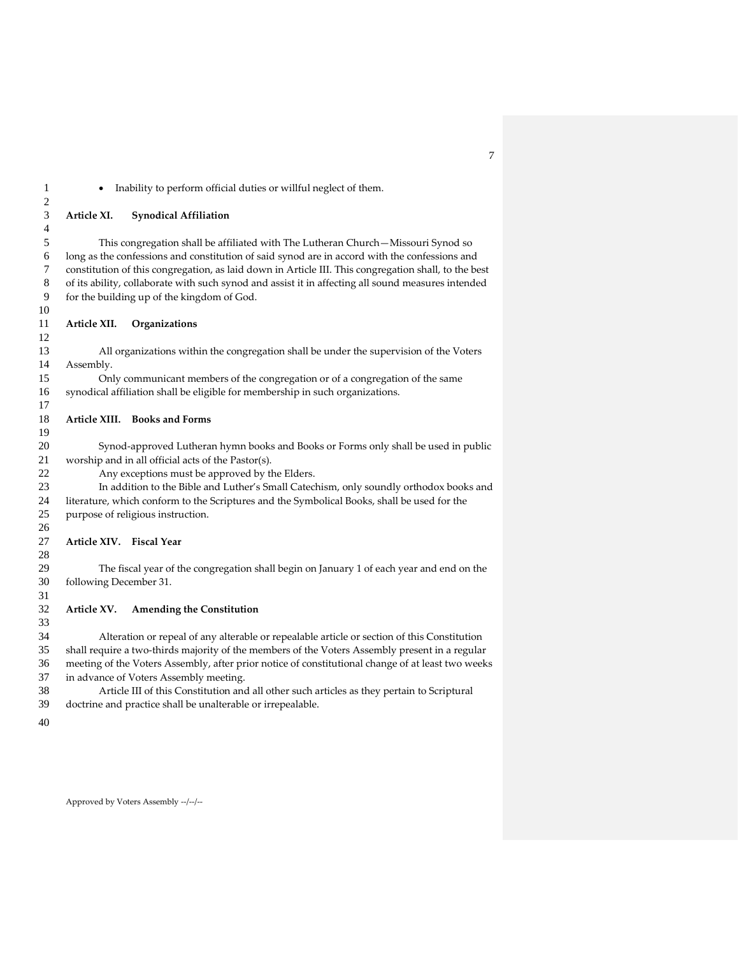## • Inability to perform official duties or willful neglect of them.

#### **Article XI. Synodical Affiliation**

 This congregation shall be affiliated with The Lutheran Church—Missouri Synod so long as the confessions and constitution of said synod are in accord with the confessions and constitution of this congregation, as laid down in Article III. This congregation shall, to the best of its ability, collaborate with such synod and assist it in affecting all sound measures intended for the building up of the kingdom of God.

### **Article XII. Organizations**

 All organizations within the congregation shall be under the supervision of the Voters Assembly.

 Only communicant members of the congregation or of a congregation of the same synodical affiliation shall be eligible for membership in such organizations.

## **Article XIII. Books and Forms**

 Synod-approved Lutheran hymn books and Books or Forms only shall be used in public worship and in all official acts of the Pastor(s).

Any exceptions must be approved by the Elders.

 In addition to the Bible and Luther's Small Catechism, only soundly orthodox books and literature, which conform to the Scriptures and the Symbolical Books, shall be used for the purpose of religious instruction.

#### **Article XIV. Fiscal Year**

 The fiscal year of the congregation shall begin on January 1 of each year and end on the following December 31.

### **Article XV. Amending the Constitution**

 Alteration or repeal of any alterable or repealable article or section of this Constitution shall require a two-thirds majority of the members of the Voters Assembly present in a regular meeting of the Voters Assembly, after prior notice of constitutional change of at least two weeks in advance of Voters Assembly meeting.

 Article III of this Constitution and all other such articles as they pertain to Scriptural doctrine and practice shall be unalterable or irrepealable.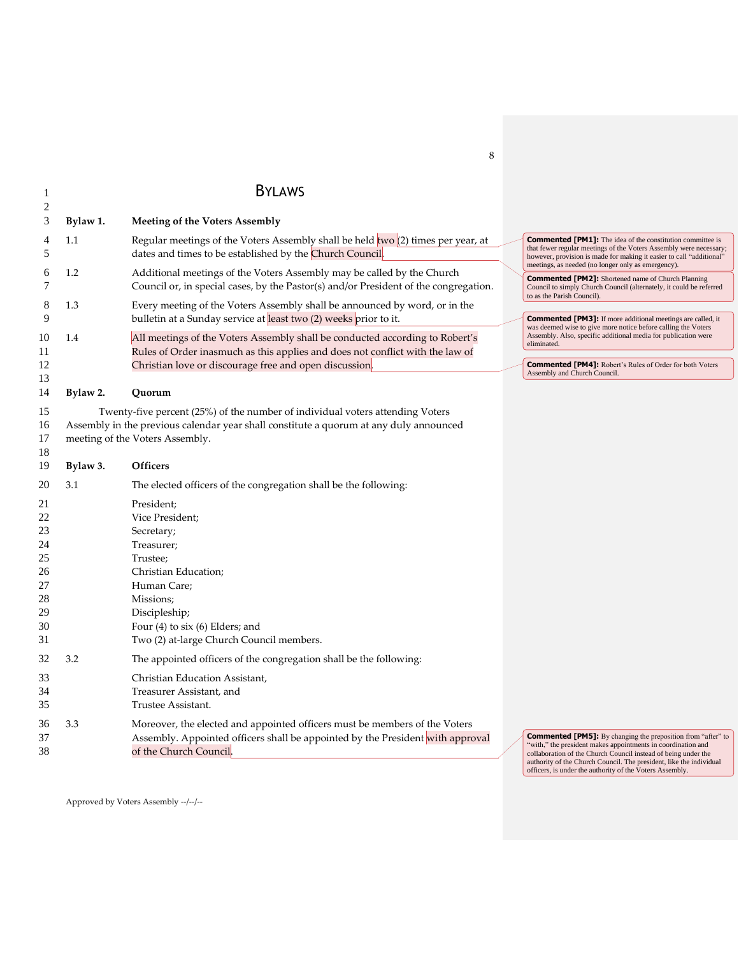## 1 BYLAWS

| $\perp$                                                        |          | <b>DILAYYJ</b>                                                                                                                                                                                                                |                                                                                                                                                                                                                                                                                                                                          |
|----------------------------------------------------------------|----------|-------------------------------------------------------------------------------------------------------------------------------------------------------------------------------------------------------------------------------|------------------------------------------------------------------------------------------------------------------------------------------------------------------------------------------------------------------------------------------------------------------------------------------------------------------------------------------|
| 2<br>3                                                         | Bylaw 1. | <b>Meeting of the Voters Assembly</b>                                                                                                                                                                                         |                                                                                                                                                                                                                                                                                                                                          |
| 4<br>5                                                         | 1.1      | Regular meetings of the Voters Assembly shall be held $two(2)$ times per year, at<br>dates and times to be established by the Church Council.                                                                                 | <b>Commented [PM1]:</b> The idea of the constitution committee is<br>that fewer regular meetings of the Voters Assembly were necessary;<br>however, provision is made for making it easier to call "additional"<br>meetings, as needed (no longer only as emergency).                                                                    |
| 6<br>7                                                         | 1.2      | Additional meetings of the Voters Assembly may be called by the Church<br>Council or, in special cases, by the Pastor(s) and/or President of the congregation.                                                                | <b>Commented [PM2]:</b> Shortened name of Church Planning<br>Council to simply Church Council (alternately, it could be referred<br>to as the Parish Council).                                                                                                                                                                           |
| 8<br>$\mathbf Q$                                               | 1.3      | Every meeting of the Voters Assembly shall be announced by word, or in the<br>bulletin at a Sunday service at least two (2) weeks prior to it.                                                                                | <b>Commented [PM3]:</b> If more additional meetings are called, it<br>was deemed wise to give more notice before calling the Voters                                                                                                                                                                                                      |
| 10<br>11<br>12                                                 | 1.4      | All meetings of the Voters Assembly shall be conducted according to Robert's<br>Rules of Order inasmuch as this applies and does not conflict with the law of<br>Christian love or discourage free and open discussion.       | Assembly. Also, specific additional media for publication were<br>eliminated.<br><b>Commented [PM4]:</b> Robert's Rules of Order for both Voters<br>Assembly and Church Council.                                                                                                                                                         |
| 13<br>14                                                       | Bylaw 2. | Quorum                                                                                                                                                                                                                        |                                                                                                                                                                                                                                                                                                                                          |
| 15<br>16<br>17<br>18                                           |          | Twenty-five percent (25%) of the number of individual voters attending Voters<br>Assembly in the previous calendar year shall constitute a quorum at any duly announced<br>meeting of the Voters Assembly.                    |                                                                                                                                                                                                                                                                                                                                          |
| 19                                                             | Bylaw 3. | Officers                                                                                                                                                                                                                      |                                                                                                                                                                                                                                                                                                                                          |
| 20                                                             | 3.1      | The elected officers of the congregation shall be the following:                                                                                                                                                              |                                                                                                                                                                                                                                                                                                                                          |
| 21<br>22<br>23<br>24<br>25<br>26<br>27<br>28<br>29<br>30<br>31 |          | President;<br>Vice President;<br>Secretary;<br>Treasurer;<br>Trustee;<br>Christian Education;<br>Human Care;<br>Missions;<br>Discipleship;<br>Four $(4)$ to six $(6)$ Elders; and<br>Two (2) at-large Church Council members. |                                                                                                                                                                                                                                                                                                                                          |
| 32<br>33                                                       | 3.2      | The appointed officers of the congregation shall be the following:<br>Christian Education Assistant,                                                                                                                          |                                                                                                                                                                                                                                                                                                                                          |
| 34<br>35                                                       |          | Treasurer Assistant, and<br>Trustee Assistant.                                                                                                                                                                                |                                                                                                                                                                                                                                                                                                                                          |
| 36<br>37<br>38                                                 | 3.3      | Moreover, the elected and appointed officers must be members of the Voters<br>Assembly. Appointed officers shall be appointed by the President with approval<br>of the Church Council.                                        | <b>Commented [PM5]:</b> By changing the preposition from "after" to<br>"with," the president makes appointments in coordination and<br>collaboration of the Church Council instead of being under the<br>authority of the Church Council. The president, like the individual<br>officers, is under the authority of the Voters Assembly. |

Approved by Voters Assembly --/--/--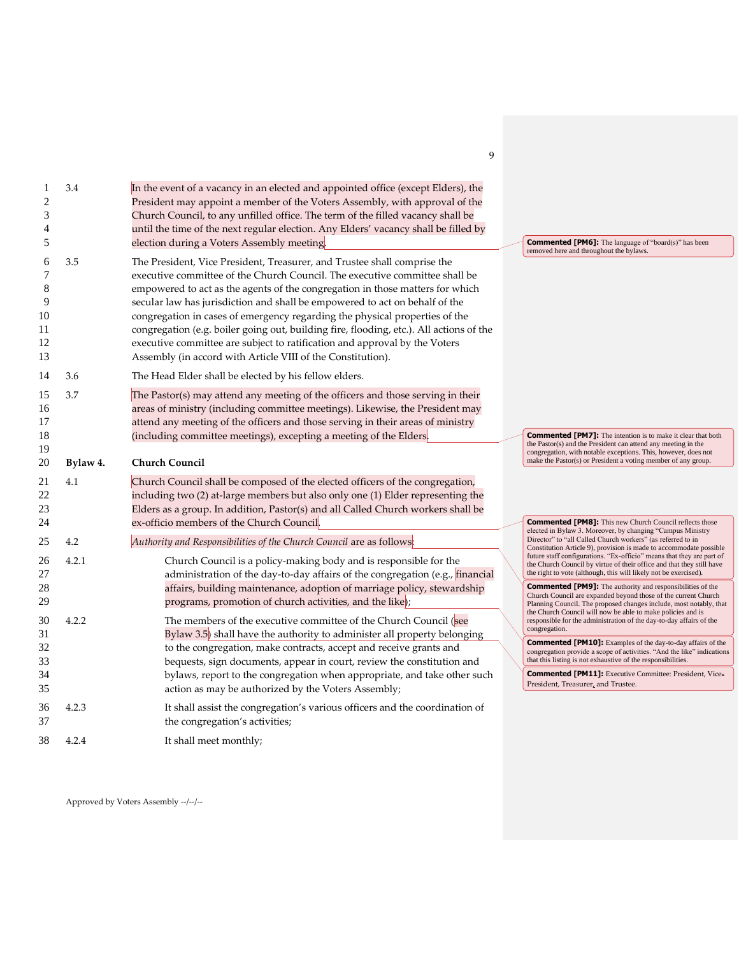| $\overline{c}$<br>3<br>4<br>5            | 3.4      | In the event of a vacancy in an elected and appointed office (except Elders), the<br>President may appoint a member of the Voters Assembly, with approval of the<br>Church Council, to any unfilled office. The term of the filled vacancy shall be<br>until the time of the next regular election. Any Elders' vacancy shall be filled by<br>election during a Voters Assembly meeting.                                                                                                                                                                                                                                                       | <b>Commented [PM6]:</b> The language of "board(s)" has been<br>removed here and throughout the bylaws.                                                                                                                                                                                   |
|------------------------------------------|----------|------------------------------------------------------------------------------------------------------------------------------------------------------------------------------------------------------------------------------------------------------------------------------------------------------------------------------------------------------------------------------------------------------------------------------------------------------------------------------------------------------------------------------------------------------------------------------------------------------------------------------------------------|------------------------------------------------------------------------------------------------------------------------------------------------------------------------------------------------------------------------------------------------------------------------------------------|
| 6<br>7<br>8<br>9<br>10<br>11<br>12<br>13 | 3.5      | The President, Vice President, Treasurer, and Trustee shall comprise the<br>executive committee of the Church Council. The executive committee shall be<br>empowered to act as the agents of the congregation in those matters for which<br>secular law has jurisdiction and shall be empowered to act on behalf of the<br>congregation in cases of emergency regarding the physical properties of the<br>congregation (e.g. boiler going out, building fire, flooding, etc.). All actions of the<br>executive committee are subject to ratification and approval by the Voters<br>Assembly (in accord with Article VIII of the Constitution). |                                                                                                                                                                                                                                                                                          |
| 14                                       | 3.6      | The Head Elder shall be elected by his fellow elders.                                                                                                                                                                                                                                                                                                                                                                                                                                                                                                                                                                                          |                                                                                                                                                                                                                                                                                          |
| 15<br>16<br>17<br>18                     | 3.7      | The Pastor(s) may attend any meeting of the officers and those serving in their<br>areas of ministry (including committee meetings). Likewise, the President may<br>attend any meeting of the officers and those serving in their areas of ministry<br>(including committee meetings), excepting a meeting of the Elders.                                                                                                                                                                                                                                                                                                                      | <b>Commented [PM7]:</b> The intention is to make it clear that both                                                                                                                                                                                                                      |
| 19<br>20                                 | Bylaw 4. | <b>Church Council</b>                                                                                                                                                                                                                                                                                                                                                                                                                                                                                                                                                                                                                          | the Pastor(s) and the President can attend any meeting in the<br>congregation, with notable exceptions. This, however, does not<br>make the Pastor(s) or President a voting member of any group.                                                                                         |
| 21<br>22<br>23<br>24                     | 4.1      | Church Council shall be composed of the elected officers of the congregation,<br>including two (2) at-large members but also only one (1) Elder representing the<br>Elders as a group. In addition, Pastor(s) and all Called Church workers shall be<br>ex-officio members of the Church Council.                                                                                                                                                                                                                                                                                                                                              | <b>Commented [PM8]:</b> This new Church Council reflects those                                                                                                                                                                                                                           |
| 25                                       | 4.2      | Authority and Responsibilities of the Church Council are as follows:                                                                                                                                                                                                                                                                                                                                                                                                                                                                                                                                                                           | elected in Bylaw 3. Moreover, by changing "Campus Ministry<br>Director" to "all Called Church workers" (as referred to in                                                                                                                                                                |
| 26<br>27                                 | 4.2.1    | Church Council is a policy-making body and is responsible for the<br>administration of the day-to-day affairs of the congregation (e.g., financial                                                                                                                                                                                                                                                                                                                                                                                                                                                                                             | Constitution Article 9), provision is made to accommodate possible<br>future staff configurations. "Ex-officio" means that they are part of<br>the Church Council by virtue of their office and that they still have<br>the right to vote (although, this will likely not be exercised). |
| 28<br>29                                 |          | affairs, building maintenance, adoption of marriage policy, stewardship<br>programs, promotion of church activities, and the like);                                                                                                                                                                                                                                                                                                                                                                                                                                                                                                            | <b>Commented [PM9]:</b> The authority and responsibilities of the<br>Church Council are expanded beyond those of the current Church<br>Planning Council. The proposed changes include, most notably, that                                                                                |
| 30<br>31                                 | 4.2.2    | The members of the executive committee of the Church Council (see<br>Bylaw $3.5$ ) shall have the authority to administer all property belonging                                                                                                                                                                                                                                                                                                                                                                                                                                                                                               | the Church Council will now be able to make policies and is<br>responsible for the administration of the day-to-day affairs of the<br>congregation.                                                                                                                                      |
| 32<br>33                                 |          | to the congregation, make contracts, accept and receive grants and<br>bequests, sign documents, appear in court, review the constitution and                                                                                                                                                                                                                                                                                                                                                                                                                                                                                                   | <b>Commented [PM10]:</b> Examples of the day-to-day affairs of the<br>congregation provide a scope of activities. "And the like" indications<br>that this listing is not exhaustive of the responsibilities.                                                                             |
| 34<br>35                                 |          | bylaws, report to the congregation when appropriate, and take other such<br>action as may be authorized by the Voters Assembly;                                                                                                                                                                                                                                                                                                                                                                                                                                                                                                                | <b>Commented [PM11]:</b> Executive Committee: President, Vice-<br>President, Treasurer, and Trustee.                                                                                                                                                                                     |
| 36<br>37                                 | 4.2.3    | It shall assist the congregation's various officers and the coordination of<br>the congregation's activities;                                                                                                                                                                                                                                                                                                                                                                                                                                                                                                                                  |                                                                                                                                                                                                                                                                                          |
| 38                                       | 4.2.4    | It shall meet monthly;                                                                                                                                                                                                                                                                                                                                                                                                                                                                                                                                                                                                                         |                                                                                                                                                                                                                                                                                          |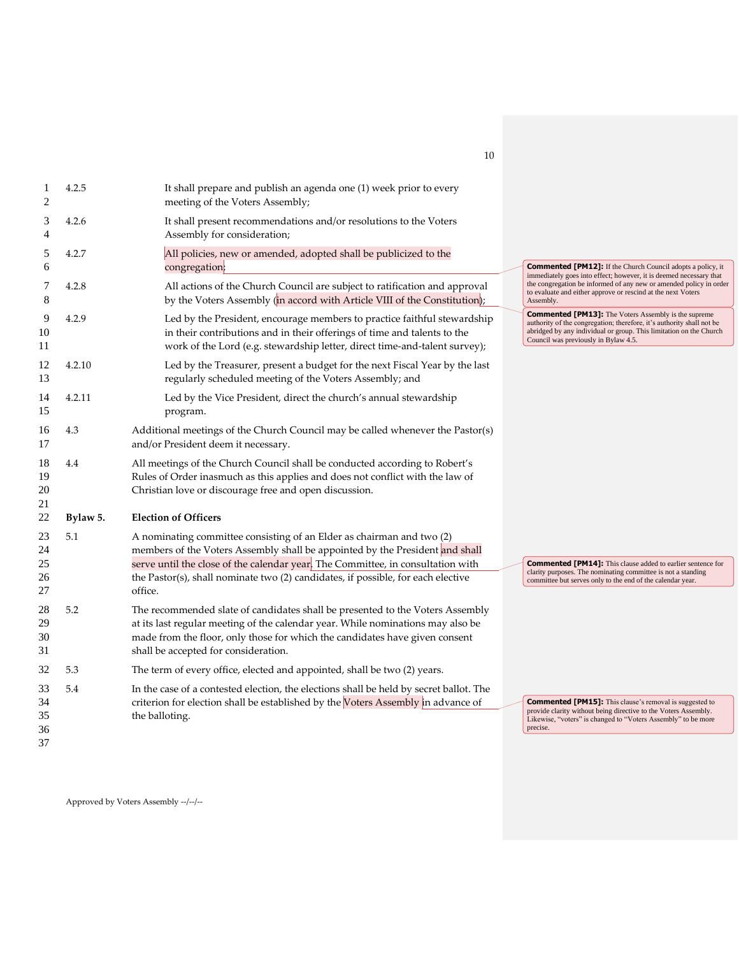| 1<br>2                     | 4.2.5    | It shall prepare and publish an agenda one (1) week prior to every<br>meeting of the Voters Assembly;                                                                                                                                                                                                                                   |                                                                                                                                                                                                                                                    |
|----------------------------|----------|-----------------------------------------------------------------------------------------------------------------------------------------------------------------------------------------------------------------------------------------------------------------------------------------------------------------------------------------|----------------------------------------------------------------------------------------------------------------------------------------------------------------------------------------------------------------------------------------------------|
| 3<br>4                     | 4.2.6    | It shall present recommendations and/or resolutions to the Voters<br>Assembly for consideration;                                                                                                                                                                                                                                        |                                                                                                                                                                                                                                                    |
| 5<br>6                     | 4.2.7    | All policies, new or amended, adopted shall be publicized to the<br>congregation;                                                                                                                                                                                                                                                       | <b>Commented [PM12]:</b> If the Church Council adopts a policy, it                                                                                                                                                                                 |
| 7<br>8                     | 4.2.8    | All actions of the Church Council are subject to ratification and approval<br>by the Voters Assembly (in accord with Article VIII of the Constitution);                                                                                                                                                                                 | immediately goes into effect; however, it is deemed necessary that<br>the congregation be informed of any new or amended policy in order<br>to evaluate and either approve or rescind at the next Voters<br>Assembly.                              |
| 9<br>10<br>11              | 4.2.9    | Led by the President, encourage members to practice faithful stewardship<br>in their contributions and in their offerings of time and talents to the<br>work of the Lord (e.g. stewardship letter, direct time-and-talent survey);                                                                                                      | <b>Commented [PM13]:</b> The Voters Assembly is the supreme<br>authority of the congregation; therefore, it's authority shall not be<br>abridged by any individual or group. This limitation on the Church<br>Council was previously in Bylaw 4.5. |
| 12<br>13                   | 4.2.10   | Led by the Treasurer, present a budget for the next Fiscal Year by the last<br>regularly scheduled meeting of the Voters Assembly; and                                                                                                                                                                                                  |                                                                                                                                                                                                                                                    |
| 14<br>15                   | 4.2.11   | Led by the Vice President, direct the church's annual stewardship<br>program.                                                                                                                                                                                                                                                           |                                                                                                                                                                                                                                                    |
| 16<br>17                   | 4.3      | Additional meetings of the Church Council may be called whenever the Pastor(s)<br>and/or President deem it necessary.                                                                                                                                                                                                                   |                                                                                                                                                                                                                                                    |
| 18<br>19<br>20<br>21       | 4.4      | All meetings of the Church Council shall be conducted according to Robert's<br>Rules of Order inasmuch as this applies and does not conflict with the law of<br>Christian love or discourage free and open discussion.                                                                                                                  |                                                                                                                                                                                                                                                    |
| 22                         | Bylaw 5. | <b>Election of Officers</b>                                                                                                                                                                                                                                                                                                             |                                                                                                                                                                                                                                                    |
| 23<br>24<br>25<br>26<br>27 | 5.1      | A nominating committee consisting of an Elder as chairman and two (2)<br>members of the Voters Assembly shall be appointed by the President and shall<br>serve until the close of the calendar year. The Committee, in consultation with<br>the Pastor(s), shall nominate two (2) candidates, if possible, for each elective<br>office. | <b>Commented [PM14]:</b> This clause added to earlier sentence for<br>clarity purposes. The nominating committee is not a standing<br>committee but serves only to the end of the calendar year.                                                   |
| 28<br>29<br>30<br>31       | 5.2      | The recommended slate of candidates shall be presented to the Voters Assembly<br>at its last regular meeting of the calendar year. While nominations may also be<br>made from the floor, only those for which the candidates have given consent<br>shall be accepted for consideration.                                                 |                                                                                                                                                                                                                                                    |
| 32                         | 5.3      | The term of every office, elected and appointed, shall be two (2) years.                                                                                                                                                                                                                                                                |                                                                                                                                                                                                                                                    |
| 33<br>34<br>35<br>36<br>37 | 5.4      | In the case of a contested election, the elections shall be held by secret ballot. The<br>criterion for election shall be established by the Voters Assembly in advance of<br>the balloting.                                                                                                                                            | <b>Commented [PM15]:</b> This clause's removal is suggested to<br>provide clarity without being directive to the Voters Assembly.<br>Likewise, "voters" is changed to "Voters Assembly" to be more<br>precise.                                     |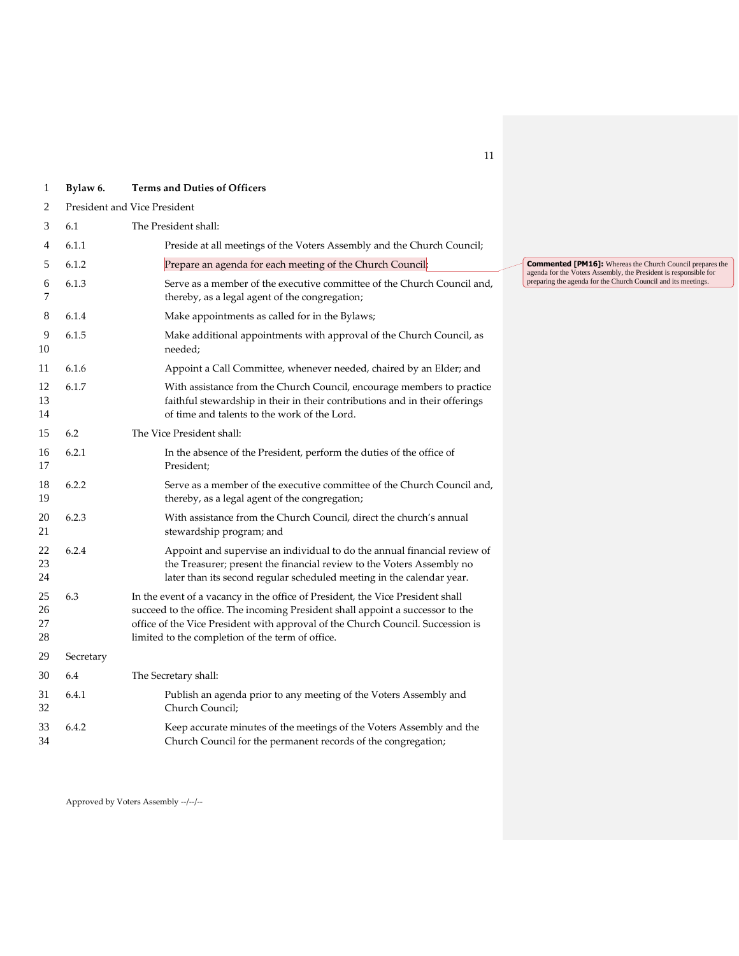| 1                    | Bylaw 6.                                                                                                                                                                                                       | <b>Terms and Duties of Officers</b>                                                                                                                                                                                                                                                                     |                          |  |  |
|----------------------|----------------------------------------------------------------------------------------------------------------------------------------------------------------------------------------------------------------|---------------------------------------------------------------------------------------------------------------------------------------------------------------------------------------------------------------------------------------------------------------------------------------------------------|--------------------------|--|--|
| 2                    | President and Vice President                                                                                                                                                                                   |                                                                                                                                                                                                                                                                                                         |                          |  |  |
| 3                    | 6.1                                                                                                                                                                                                            | The President shall:                                                                                                                                                                                                                                                                                    |                          |  |  |
| 4                    | 6.1.1                                                                                                                                                                                                          | Preside at all meetings of the Voters Assembly and the Church Council;                                                                                                                                                                                                                                  |                          |  |  |
| 5                    | 6.1.2                                                                                                                                                                                                          | Prepare an agenda for each meeting of the Church Council;                                                                                                                                                                                                                                               | Comment<br>agenda for tl |  |  |
| 6<br>7               | 6.1.3                                                                                                                                                                                                          | Serve as a member of the executive committee of the Church Council and,<br>thereby, as a legal agent of the congregation;                                                                                                                                                                               | preparing the            |  |  |
| 8                    | 6.1.4                                                                                                                                                                                                          | Make appointments as called for in the Bylaws;                                                                                                                                                                                                                                                          |                          |  |  |
| 9<br>10              | 6.1.5                                                                                                                                                                                                          | Make additional appointments with approval of the Church Council, as<br>needed;                                                                                                                                                                                                                         |                          |  |  |
| 11                   | 6.1.6                                                                                                                                                                                                          | Appoint a Call Committee, whenever needed, chaired by an Elder; and                                                                                                                                                                                                                                     |                          |  |  |
| 12<br>13<br>14       | 6.1.7<br>With assistance from the Church Council, encourage members to practice<br>faithful stewardship in their in their contributions and in their offerings<br>of time and talents to the work of the Lord. |                                                                                                                                                                                                                                                                                                         |                          |  |  |
| 15                   | 6.2                                                                                                                                                                                                            | The Vice President shall:                                                                                                                                                                                                                                                                               |                          |  |  |
| 16<br>17             | 6.2.1                                                                                                                                                                                                          | In the absence of the President, perform the duties of the office of<br>President;                                                                                                                                                                                                                      |                          |  |  |
| 18<br>19             | 6.2.2                                                                                                                                                                                                          | Serve as a member of the executive committee of the Church Council and,<br>thereby, as a legal agent of the congregation;                                                                                                                                                                               |                          |  |  |
| 20<br>21             | 6.2.3<br>With assistance from the Church Council, direct the church's annual<br>stewardship program; and                                                                                                       |                                                                                                                                                                                                                                                                                                         |                          |  |  |
| 22<br>23<br>24       | 6.2.4                                                                                                                                                                                                          | Appoint and supervise an individual to do the annual financial review of<br>the Treasurer; present the financial review to the Voters Assembly no<br>later than its second regular scheduled meeting in the calendar year.                                                                              |                          |  |  |
| 25<br>26<br>27<br>28 | 6.3                                                                                                                                                                                                            | In the event of a vacancy in the office of President, the Vice President shall<br>succeed to the office. The incoming President shall appoint a successor to the<br>office of the Vice President with approval of the Church Council. Succession is<br>limited to the completion of the term of office. |                          |  |  |
| 29                   | Secretary                                                                                                                                                                                                      |                                                                                                                                                                                                                                                                                                         |                          |  |  |
| 30                   | 6.4                                                                                                                                                                                                            | The Secretary shall:                                                                                                                                                                                                                                                                                    |                          |  |  |
| 31<br>32             | 6.4.1<br>Publish an agenda prior to any meeting of the Voters Assembly and<br>Church Council;                                                                                                                  |                                                                                                                                                                                                                                                                                                         |                          |  |  |
| 33<br>34             | 6.4.2<br>Keep accurate minutes of the meetings of the Voters Assembly and the<br>Church Council for the permanent records of the congregation;                                                                 |                                                                                                                                                                                                                                                                                                         |                          |  |  |

**Commented [PM16]:** Whereas the Church Council prepares the agenda for the Voters Assembly, the President is responsible for preparing the agenda for the Church Council and its meetings.

Approved by Voters Assembly --/--/--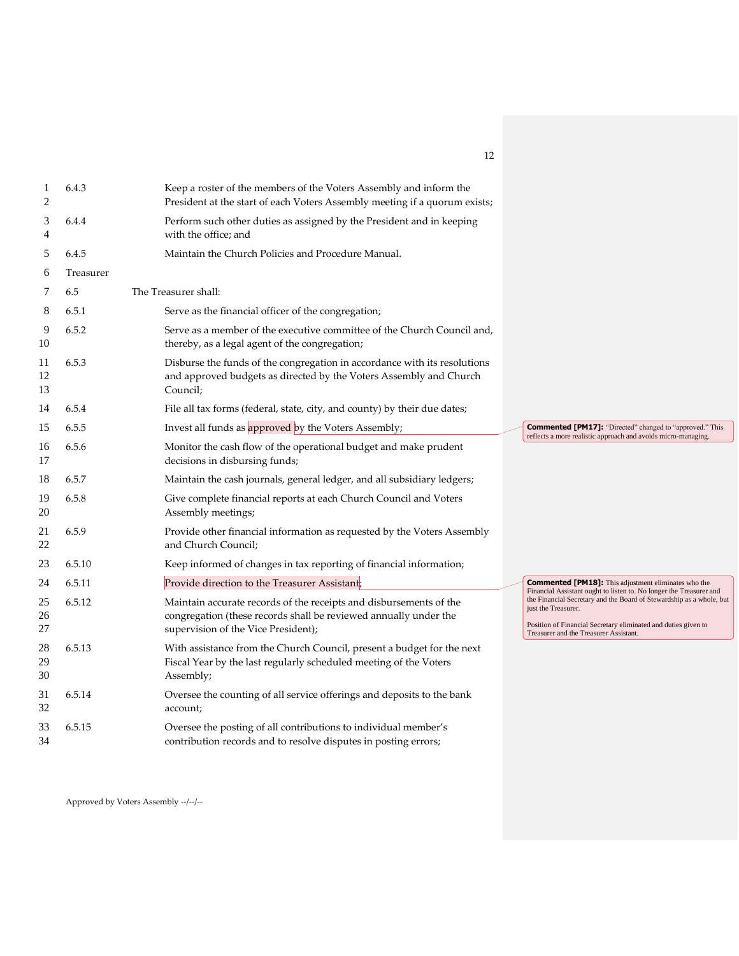| 1<br>2         | 6.4.3     | Keep a roster of the members of the Voters Assembly and inform the<br>President at the start of each Voters Assembly meeting if a quorum exists;                              |                                                                                                                                                                                                         |
|----------------|-----------|-------------------------------------------------------------------------------------------------------------------------------------------------------------------------------|---------------------------------------------------------------------------------------------------------------------------------------------------------------------------------------------------------|
| 3<br>4         | 6.4.4     | Perform such other duties as assigned by the President and in keeping<br>with the office; and                                                                                 |                                                                                                                                                                                                         |
| 5              | 6.4.5     | Maintain the Church Policies and Procedure Manual.                                                                                                                            |                                                                                                                                                                                                         |
| 6              | Treasurer |                                                                                                                                                                               |                                                                                                                                                                                                         |
| 7              | 6.5       | The Treasurer shall:                                                                                                                                                          |                                                                                                                                                                                                         |
| 8              | 6.5.1     | Serve as the financial officer of the congregation;                                                                                                                           |                                                                                                                                                                                                         |
| 9<br>10        | 6.5.2     | Serve as a member of the executive committee of the Church Council and,<br>thereby, as a legal agent of the congregation;                                                     |                                                                                                                                                                                                         |
| 11<br>12<br>13 | 6.5.3     | Disburse the funds of the congregation in accordance with its resolutions<br>and approved budgets as directed by the Voters Assembly and Church<br>Council;                   |                                                                                                                                                                                                         |
| 14             | 6.5.4     | File all tax forms (federal, state, city, and county) by their due dates;                                                                                                     |                                                                                                                                                                                                         |
| 15             | 6.5.5     | Invest all funds as approved by the Voters Assembly;                                                                                                                          | <b>Commented [PM17]:</b> "Directed" changed to "approved." This<br>reflects a more realistic approach and avoids micro-managing.                                                                        |
| 16<br>17       | 6.5.6     | Monitor the cash flow of the operational budget and make prudent<br>decisions in disbursing funds;                                                                            |                                                                                                                                                                                                         |
| 18             | 6.5.7     | Maintain the cash journals, general ledger, and all subsidiary ledgers;                                                                                                       |                                                                                                                                                                                                         |
| 19<br>20       | 6.5.8     | Give complete financial reports at each Church Council and Voters<br>Assembly meetings;                                                                                       |                                                                                                                                                                                                         |
| 21<br>22       | 6.5.9     | Provide other financial information as requested by the Voters Assembly<br>and Church Council;                                                                                |                                                                                                                                                                                                         |
| 23             | 6.5.10    | Keep informed of changes in tax reporting of financial information;                                                                                                           |                                                                                                                                                                                                         |
| 24             | 6.5.11    | Provide direction to the Treasurer Assistant;                                                                                                                                 | <b>Commented [PM18]:</b> This adjustment eliminates who the<br>Financial Assistant ought to listen to. No longer the Treasurer and                                                                      |
| 25<br>26<br>27 | 6.5.12    | Maintain accurate records of the receipts and disbursements of the<br>congregation (these records shall be reviewed annually under the<br>supervision of the Vice President); | the Financial Secretary and the Board of Stewardship as a whole, but<br>just the Treasurer.<br>Position of Financial Secretary eliminated and duties given to<br>Treasurer and the Treasurer Assistant. |
| 28<br>29<br>30 | 6.5.13    | With assistance from the Church Council, present a budget for the next<br>Fiscal Year by the last regularly scheduled meeting of the Voters<br>Assembly;                      |                                                                                                                                                                                                         |
| 31<br>32       | 6.5.14    | Oversee the counting of all service offerings and deposits to the bank<br>account;                                                                                            |                                                                                                                                                                                                         |
| 33<br>34       | 6.5.15    | Oversee the posting of all contributions to individual member's<br>contribution records and to resolve disputes in posting errors;                                            |                                                                                                                                                                                                         |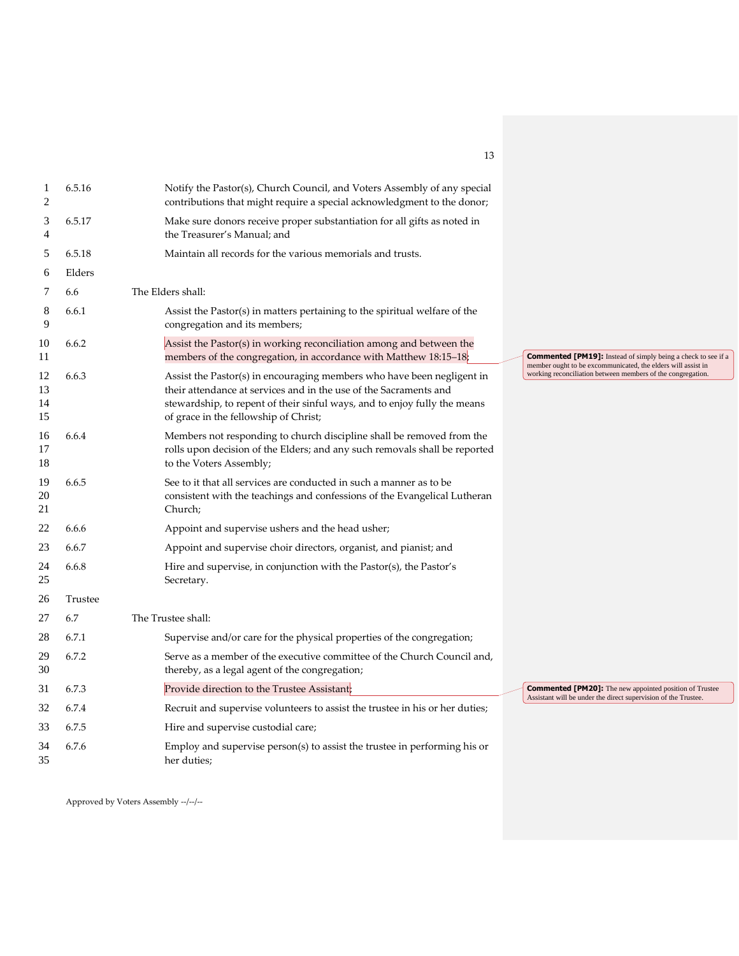| 1<br>2               | 6.5.16  | Notify the Pastor(s), Church Council, and Voters Assembly of any special<br>contributions that might require a special acknowledgment to the donor;                                                                                                               |                                                                                                                                  |
|----------------------|---------|-------------------------------------------------------------------------------------------------------------------------------------------------------------------------------------------------------------------------------------------------------------------|----------------------------------------------------------------------------------------------------------------------------------|
| 3<br>4               | 6.5.17  | Make sure donors receive proper substantiation for all gifts as noted in<br>the Treasurer's Manual; and                                                                                                                                                           |                                                                                                                                  |
| 5                    | 6.5.18  | Maintain all records for the various memorials and trusts.                                                                                                                                                                                                        |                                                                                                                                  |
| 6                    | Elders  |                                                                                                                                                                                                                                                                   |                                                                                                                                  |
| 7                    | 6.6     | The Elders shall:                                                                                                                                                                                                                                                 |                                                                                                                                  |
| 8<br>9               | 6.6.1   | Assist the Pastor(s) in matters pertaining to the spiritual welfare of the<br>congregation and its members;                                                                                                                                                       |                                                                                                                                  |
| 10<br>11             | 6.6.2   | Assist the Pastor(s) in working reconciliation among and between the<br>members of the congregation, in accordance with Matthew 18:15-18;                                                                                                                         | <b>Commented [PM19]:</b> Instead of simply being a check to see if a                                                             |
| 12<br>13<br>14<br>15 | 6.6.3   | Assist the Pastor(s) in encouraging members who have been negligent in<br>their attendance at services and in the use of the Sacraments and<br>stewardship, to repent of their sinful ways, and to enjoy fully the means<br>of grace in the fellowship of Christ; | member ought to be excommunicated, the elders will assist in<br>working reconciliation between members of the congregation.      |
| 16<br>17<br>18       | 6.6.4   | Members not responding to church discipline shall be removed from the<br>rolls upon decision of the Elders; and any such removals shall be reported<br>to the Voters Assembly;                                                                                    |                                                                                                                                  |
| 19<br>20<br>21       | 6.6.5   | See to it that all services are conducted in such a manner as to be<br>consistent with the teachings and confessions of the Evangelical Lutheran<br>Church;                                                                                                       |                                                                                                                                  |
| 22                   | 6.6.6   | Appoint and supervise ushers and the head usher;                                                                                                                                                                                                                  |                                                                                                                                  |
| 23                   | 6.6.7   | Appoint and supervise choir directors, organist, and pianist; and                                                                                                                                                                                                 |                                                                                                                                  |
| 24<br>25             | 6.6.8   | Hire and supervise, in conjunction with the Pastor(s), the Pastor's<br>Secretary.                                                                                                                                                                                 |                                                                                                                                  |
| 26                   | Trustee |                                                                                                                                                                                                                                                                   |                                                                                                                                  |
| 27                   | 6.7     | The Trustee shall:                                                                                                                                                                                                                                                |                                                                                                                                  |
| 28                   | 6.7.1   | Supervise and/or care for the physical properties of the congregation;                                                                                                                                                                                            |                                                                                                                                  |
| 29<br>30             | 6.7.2   | Serve as a member of the executive committee of the Church Council and,<br>thereby, as a legal agent of the congregation;                                                                                                                                         |                                                                                                                                  |
| 31                   | 6.7.3   | Provide direction to the Trustee Assistant;                                                                                                                                                                                                                       | <b>Commented [PM20]:</b> The new appointed position of Trustee<br>Assistant will be under the direct supervision of the Trustee. |
| 32                   | 6.7.4   | Recruit and supervise volunteers to assist the trustee in his or her duties;                                                                                                                                                                                      |                                                                                                                                  |
| 33                   | 6.7.5   | Hire and supervise custodial care;                                                                                                                                                                                                                                |                                                                                                                                  |
| 34<br>35             | 6.7.6   | Employ and supervise person(s) to assist the trustee in performing his or<br>her duties;                                                                                                                                                                          |                                                                                                                                  |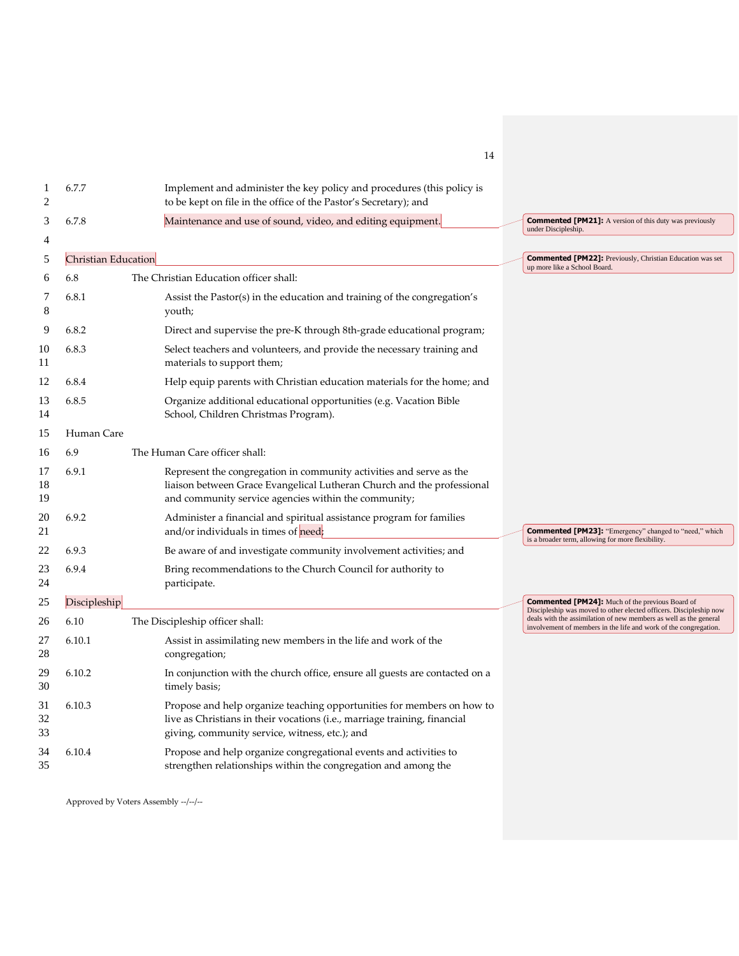| 1<br>2         | 6.7.7               | Implement and administer the key policy and procedures (this policy is<br>to be kept on file in the office of the Pastor's Secretary); and                                                            |                                                                                                                                       |
|----------------|---------------------|-------------------------------------------------------------------------------------------------------------------------------------------------------------------------------------------------------|---------------------------------------------------------------------------------------------------------------------------------------|
| 3<br>4         | 6.7.8               | Maintenance and use of sound, video, and editing equipment.                                                                                                                                           | <b>Commented [PM21]:</b> A version of this duty was previously<br>under Discipleship.                                                 |
| 5              | Christian Education |                                                                                                                                                                                                       | <b>Commented [PM22]:</b> Previously, Christian Education was set                                                                      |
| 6              | 6.8                 | The Christian Education officer shall:                                                                                                                                                                | up more like a School Board.                                                                                                          |
| 7<br>8         | 6.8.1               | Assist the Pastor(s) in the education and training of the congregation's<br>youth;                                                                                                                    |                                                                                                                                       |
| 9              | 6.8.2               | Direct and supervise the pre-K through 8th-grade educational program;                                                                                                                                 |                                                                                                                                       |
| 10<br>11       | 6.8.3               | Select teachers and volunteers, and provide the necessary training and<br>materials to support them;                                                                                                  |                                                                                                                                       |
| 12             | 6.8.4               | Help equip parents with Christian education materials for the home; and                                                                                                                               |                                                                                                                                       |
| 13<br>14       | 6.8.5               | Organize additional educational opportunities (e.g. Vacation Bible<br>School, Children Christmas Program).                                                                                            |                                                                                                                                       |
| 15             | Human Care          |                                                                                                                                                                                                       |                                                                                                                                       |
| 16             | 6.9                 | The Human Care officer shall:                                                                                                                                                                         |                                                                                                                                       |
| 17<br>18<br>19 | 6.9.1               | Represent the congregation in community activities and serve as the<br>liaison between Grace Evangelical Lutheran Church and the professional<br>and community service agencies within the community; |                                                                                                                                       |
| 20<br>21       | 6.9.2               | Administer a financial and spiritual assistance program for families<br>and/or individuals in times of need;                                                                                          | <b>Commented [PM23]:</b> "Emergency" changed to "need," which                                                                         |
| 22             | 6.9.3               | Be aware of and investigate community involvement activities; and                                                                                                                                     | is a broader term, allowing for more flexibility.                                                                                     |
| 23<br>24       | 6.9.4               | Bring recommendations to the Church Council for authority to<br>participate.                                                                                                                          |                                                                                                                                       |
| 25             | Discipleship        |                                                                                                                                                                                                       | <b>Commented [PM24]:</b> Much of the previous Board of<br>Discipleship was moved to other elected officers. Discipleship now          |
| 26             | 6.10                | The Discipleship officer shall:                                                                                                                                                                       | deals with the assimilation of new members as well as the general<br>involvement of members in the life and work of the congregation. |
| 27<br>28       | 6.10.1              | Assist in assimilating new members in the life and work of the<br>congregation;                                                                                                                       |                                                                                                                                       |
| 29<br>30       | 6.10.2              | In conjunction with the church office, ensure all guests are contacted on a<br>timely basis;                                                                                                          |                                                                                                                                       |
| 31<br>32<br>33 | 6.10.3              | Propose and help organize teaching opportunities for members on how to<br>live as Christians in their vocations (i.e., marriage training, financial<br>giving, community service, witness, etc.); and |                                                                                                                                       |
| 34<br>35       | 6.10.4              | Propose and help organize congregational events and activities to<br>strengthen relationships within the congregation and among the                                                                   |                                                                                                                                       |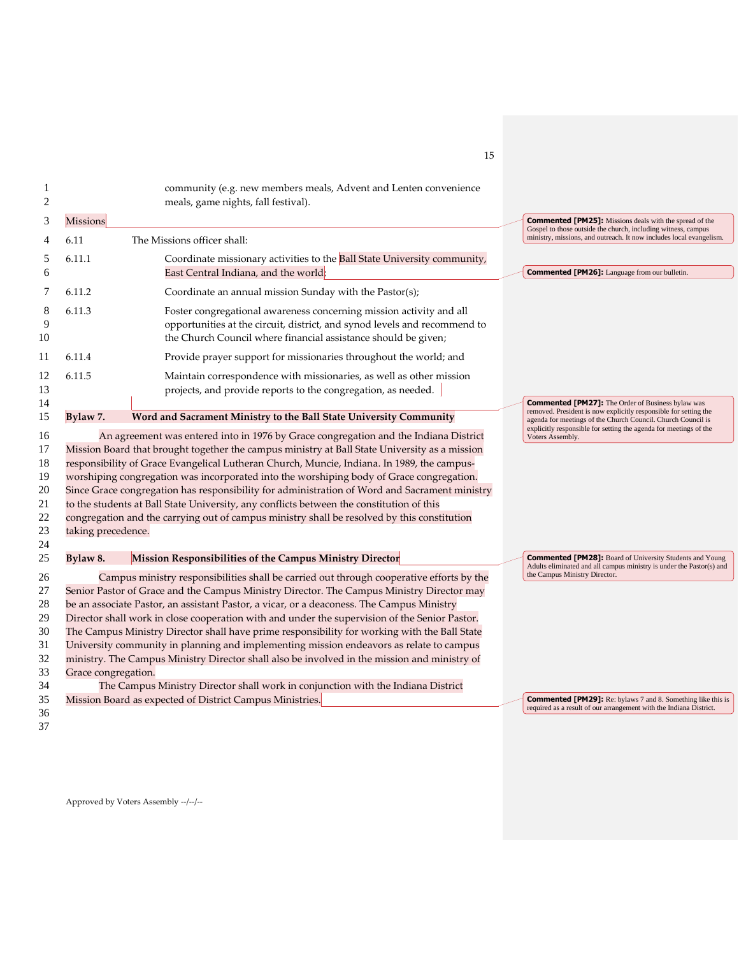| 2                                                  |                     | community (e.g. new members meals, Advent and Lenten convenience<br>meals, game nights, fall festival).                                                                                                                                                                                                                                                                                                                                                                                                                                                                                                                                                                                                                                                            |                                                                                                                                         |
|----------------------------------------------------|---------------------|--------------------------------------------------------------------------------------------------------------------------------------------------------------------------------------------------------------------------------------------------------------------------------------------------------------------------------------------------------------------------------------------------------------------------------------------------------------------------------------------------------------------------------------------------------------------------------------------------------------------------------------------------------------------------------------------------------------------------------------------------------------------|-----------------------------------------------------------------------------------------------------------------------------------------|
| 3                                                  | Missions            |                                                                                                                                                                                                                                                                                                                                                                                                                                                                                                                                                                                                                                                                                                                                                                    | <b>Commented [PM25]:</b> Missions deals with the spread of the<br>Gospel to those outside the church, including witness, campus         |
| 4                                                  | 6.11                | The Missions officer shall:                                                                                                                                                                                                                                                                                                                                                                                                                                                                                                                                                                                                                                                                                                                                        | ministry, missions, and outreach. It now includes local evangelism.                                                                     |
| 5<br>6                                             | 6.11.1              | Coordinate missionary activities to the Ball State University community,<br>East Central Indiana, and the world;                                                                                                                                                                                                                                                                                                                                                                                                                                                                                                                                                                                                                                                   | <b>Commented [PM26]:</b> Language from our bulletin.                                                                                    |
| 7                                                  | 6.11.2              | Coordinate an annual mission Sunday with the Pastor(s);                                                                                                                                                                                                                                                                                                                                                                                                                                                                                                                                                                                                                                                                                                            |                                                                                                                                         |
| 8<br>9<br>10                                       | 6.11.3              | Foster congregational awareness concerning mission activity and all<br>opportunities at the circuit, district, and synod levels and recommend to<br>the Church Council where financial assistance should be given;                                                                                                                                                                                                                                                                                                                                                                                                                                                                                                                                                 |                                                                                                                                         |
| 11                                                 | 6.11.4              | Provide prayer support for missionaries throughout the world; and                                                                                                                                                                                                                                                                                                                                                                                                                                                                                                                                                                                                                                                                                                  |                                                                                                                                         |
| 12<br>13<br>14                                     | 6.11.5              | Maintain correspondence with missionaries, as well as other mission<br>projects, and provide reports to the congregation, as needed.                                                                                                                                                                                                                                                                                                                                                                                                                                                                                                                                                                                                                               | <b>Commented [PM27]:</b> The Order of Business bylaw was                                                                                |
| 15                                                 | Bylaw 7.            | Word and Sacrament Ministry to the Ball State University Community                                                                                                                                                                                                                                                                                                                                                                                                                                                                                                                                                                                                                                                                                                 | removed. President is now explicitly responsible for setting the<br>agenda for meetings of the Church Council. Church Council is        |
| 16<br>17<br>18<br>19<br>20<br>21<br>22<br>23<br>24 | taking precedence.  | An agreement was entered into in 1976 by Grace congregation and the Indiana District<br>Mission Board that brought together the campus ministry at Ball State University as a mission<br>responsibility of Grace Evangelical Lutheran Church, Muncie, Indiana. In 1989, the campus-<br>worshiping congregation was incorporated into the worshiping body of Grace congregation.<br>Since Grace congregation has responsibility for administration of Word and Sacrament ministry<br>to the students at Ball State University, any conflicts between the constitution of this<br>congregation and the carrying out of campus ministry shall be resolved by this constitution                                                                                        | explicitly responsible for setting the agenda for meetings of the<br>Voters Assembly.                                                   |
| 25                                                 | Bylaw 8.            | Mission Responsibilities of the Campus Ministry Director                                                                                                                                                                                                                                                                                                                                                                                                                                                                                                                                                                                                                                                                                                           | <b>Commented [PM28]:</b> Board of University Students and Young<br>Adults eliminated and all campus ministry is under the Pastor(s) and |
| 26<br>27<br>28<br>29<br>30<br>31<br>32<br>33<br>34 | Grace congregation. | Campus ministry responsibilities shall be carried out through cooperative efforts by the<br>Senior Pastor of Grace and the Campus Ministry Director. The Campus Ministry Director may<br>be an associate Pastor, an assistant Pastor, a vicar, or a deaconess. The Campus Ministry<br>Director shall work in close cooperation with and under the supervision of the Senior Pastor.<br>The Campus Ministry Director shall have prime responsibility for working with the Ball State<br>University community in planning and implementing mission endeavors as relate to campus<br>ministry. The Campus Ministry Director shall also be involved in the mission and ministry of<br>The Campus Ministry Director shall work in conjunction with the Indiana District | the Campus Ministry Director.                                                                                                           |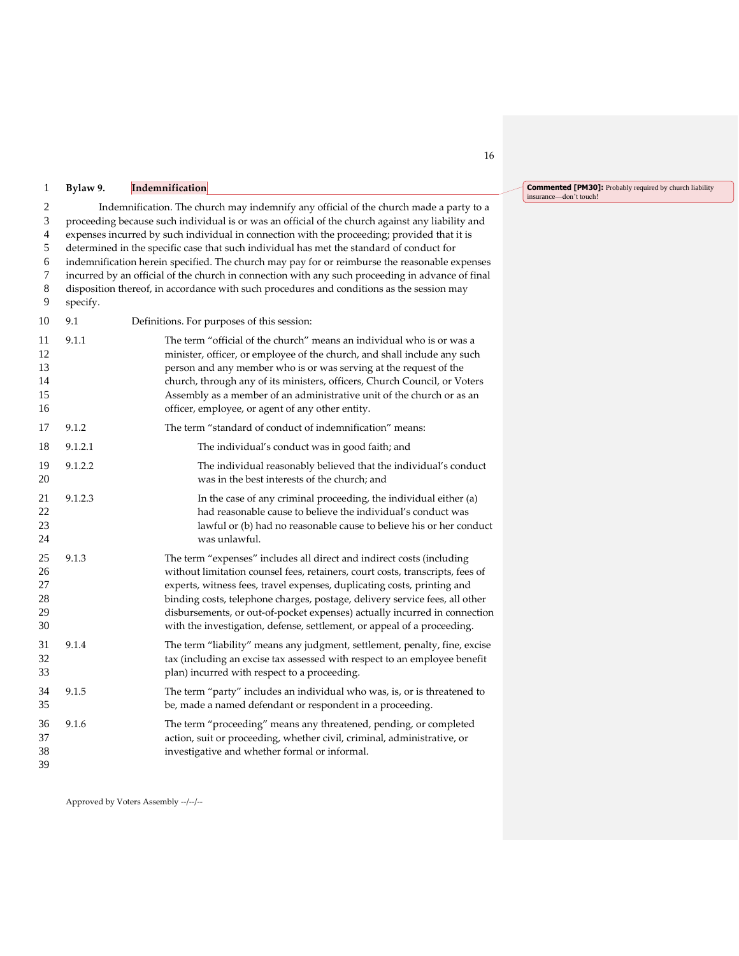#### **Bylaw 9. Indemnification**

 Indemnification. The church may indemnify any official of the church made a party to a proceeding because such individual is or was an official of the church against any liability and expenses incurred by such individual in connection with the proceeding; provided that it is determined in the specific case that such individual has met the standard of conduct for indemnification herein specified. The church may pay for or reimburse the reasonable expenses incurred by an official of the church in connection with any such proceeding in advance of final disposition thereof, in accordance with such procedures and conditions as the session may specify.

 9.1 Definitions. For purposes of this session: 9.1.1 The term "official of the church" means an individual who is or was a minister, officer, or employee of the church, and shall include any such person and any member who is or was serving at the request of the church, through any of its ministers, officers, Church Council, or Voters Assembly as a member of an administrative unit of the church or as an 16 officer, employee, or agent of any other entity. 9.1.2 The term "standard of conduct of indemnification" means: 9.1.2.1 The individual's conduct was in good faith; and 9.1.2.2 The individual reasonably believed that the individual's conduct was in the best interests of the church; and 21 9.1.2.3 In the case of any criminal proceeding, the individual either (a)<br>22 had reasonable cause to believe the individual's conduct was had reasonable cause to believe the individual's conduct was lawful or (b) had no reasonable cause to believe his or her conduct was unlawful. 9.1.3 The term "expenses" includes all direct and indirect costs (including without limitation counsel fees, retainers, court costs, transcripts, fees of experts, witness fees, travel expenses, duplicating costs, printing and binding costs, telephone charges, postage, delivery service fees, all other disbursements, or out-of-pocket expenses) actually incurred in connection with the investigation, defense, settlement, or appeal of a proceeding. 9.1.4 The term "liability" means any judgment, settlement, penalty, fine, excise tax (including an excise tax assessed with respect to an employee benefit plan) incurred with respect to a proceeding. 9.1.5 The term "party" includes an individual who was, is, or is threatened to be, made a named defendant or respondent in a proceeding. 9.1.6 The term "proceeding" means any threatened, pending, or completed action, suit or proceeding, whether civil, criminal, administrative, or investigative and whether formal or informal.

Approved by Voters Assembly --/--/--

**Commented [PM30]:** Probably required by church liability insurance—don't touch!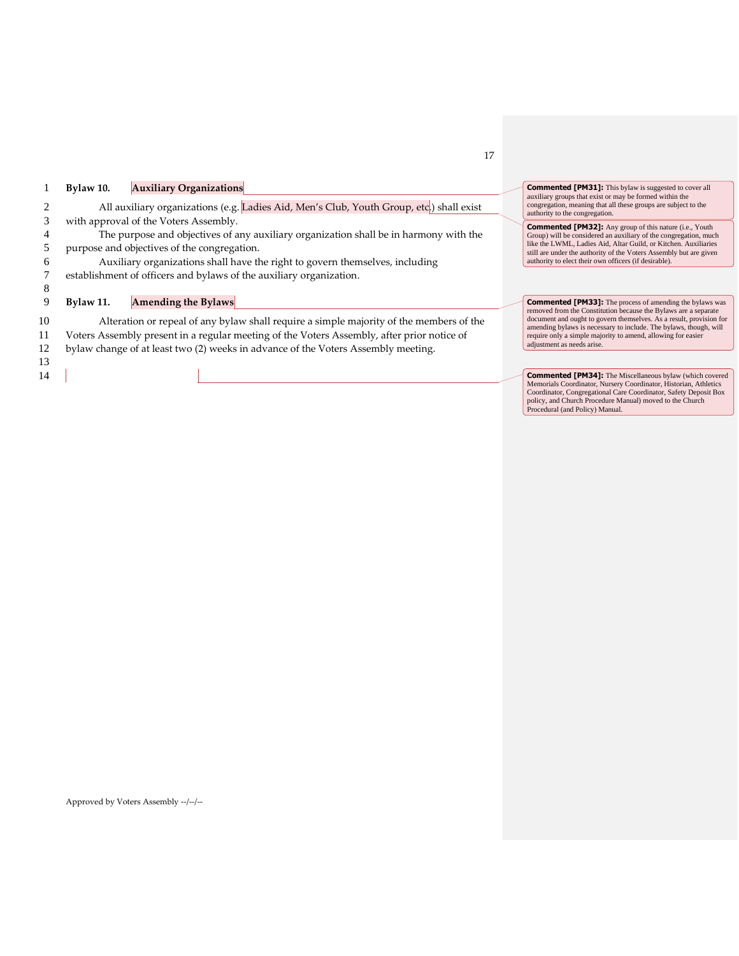|    | Bylaw 10. | <b>Auxiliary Organizations</b>                                                             | <b>Commented [PM31]:</b> This bylaw is suggested to cover all<br>auxiliary groups that exist or may be formed within the               |
|----|-----------|--------------------------------------------------------------------------------------------|----------------------------------------------------------------------------------------------------------------------------------------|
|    |           | All auxiliary organizations (e.g. Ladies Aid, Men's Club, Youth Group, etc.) shall exist   | congregation, meaning that all these groups are subject to the<br>authority to the congregation.                                       |
| 3  |           | with approval of the Voters Assembly.                                                      | <b>Commented [PM32]:</b> Any group of this nature (i.e., Youth                                                                         |
|    |           | The purpose and objectives of any auxiliary organization shall be in harmony with the      | Group) will be considered an auxiliary of the congregation, much                                                                       |
|    |           | purpose and objectives of the congregation.                                                | like the LWML, Ladies Aid, Altar Guild, or Kitchen. Auxiliaries<br>still are under the authority of the Voters Assembly but are given  |
|    |           | Auxiliary organizations shall have the right to govern themselves, including               | authority to elect their own officers (if desirable).                                                                                  |
|    |           | establishment of officers and bylaws of the auxiliary organization.                        |                                                                                                                                        |
| 8  |           |                                                                                            |                                                                                                                                        |
|    | Bylaw 11. | <b>Amending the Bylaws</b>                                                                 | <b>Commented [PM33]:</b> The process of amending the bylaws was                                                                        |
| 10 |           | Alteration or repeal of any bylaw shall require a simple majority of the members of the    | removed from the Constitution because the Bylaws are a separate<br>document and ought to govern themselves. As a result, provision for |
| 11 |           | Voters Assembly present in a regular meeting of the Voters Assembly, after prior notice of | amending bylaws is necessary to include. The bylaws, though, will<br>require only a simple majority to amend, allowing for easier      |
| 12 |           | bylaw change of at least two (2) weeks in advance of the Voters Assembly meeting.          | adjustment as needs arise.                                                                                                             |
| 13 |           |                                                                                            |                                                                                                                                        |
|    |           |                                                                                            |                                                                                                                                        |
| 14 |           |                                                                                            | <b>Commented [PM34]:</b> The Miscellaneous bylaw (which covered<br>Memorials Coordinator, Nursery Coordinator, Historian, Athletics    |
|    |           |                                                                                            | Coordinator, Congregational Care Coordinator, Safety Deposit Box                                                                       |
|    |           |                                                                                            | policy, and Church Procedure Manual) moved to the Church<br>Procedural (and Policy) Manual.                                            |

17

Approved by Voters Assembly --/--/--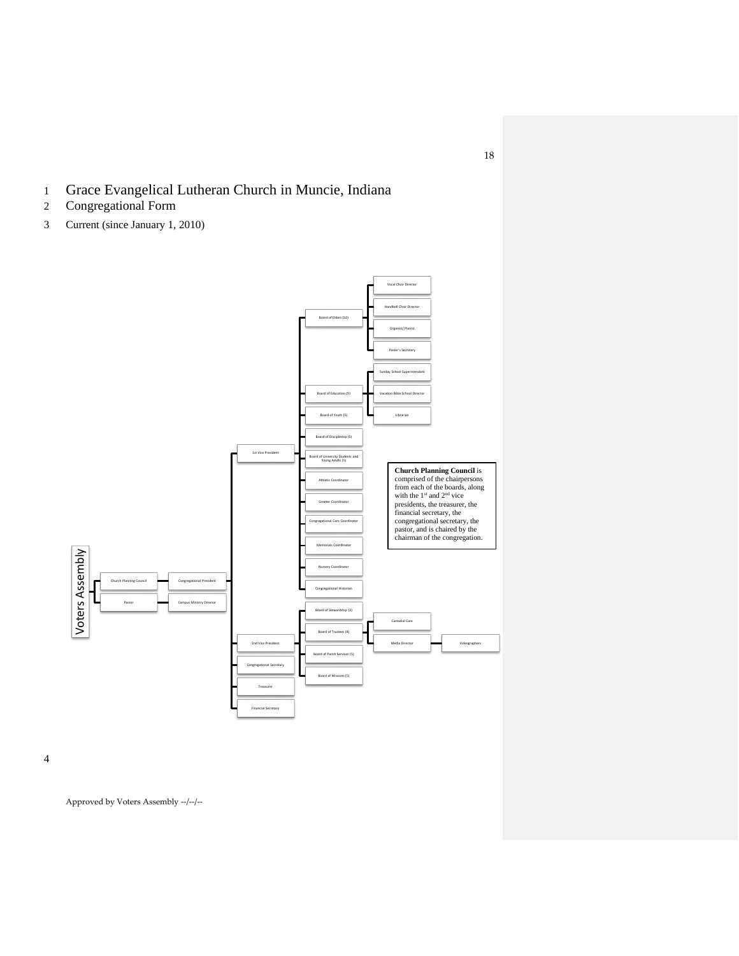- 1 Grace Evangelical Lutheran Church in Muncie, Indiana
- 2 Congregational Form
- 3 Current (since January 1, 2010)



4

Approved by Voters Assembly --/--/--